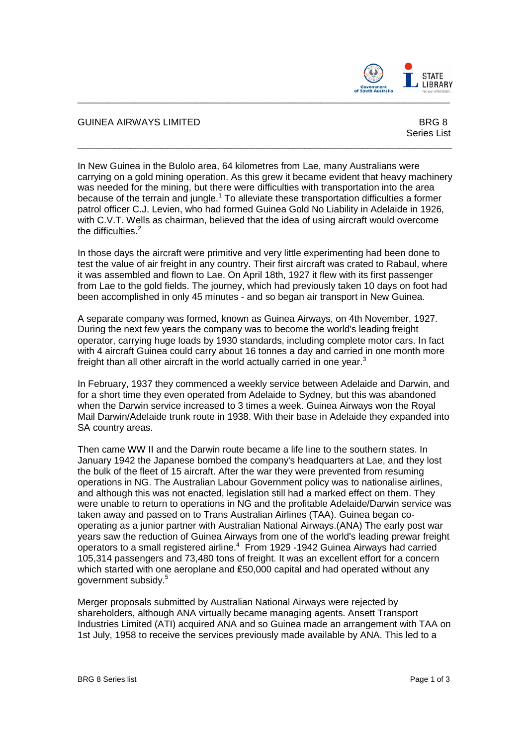

## GUINEA AIRWAYS LIMITED **BRG 8**

Series List

In New Guinea in the Bulolo area, 64 kilometres from Lae, many Australians were carrying on a gold mining operation. As this grew it became evident that heavy machinery was needed for the mining, but there were difficulties with transportation into the area because of the terrain and jungle.<sup>1</sup> To alleviate these transportation difficulties a former patrol officer C.J. Levien, who had formed Guinea Gold No Liability in Adelaide in 1926, with C.V.T. Wells as chairman, believed that the idea of using aircraft would overcome the difficulties.<sup>2</sup>

\_\_\_\_\_\_\_\_\_\_\_\_\_\_\_\_\_\_\_\_\_\_\_\_\_\_\_\_\_\_\_\_\_\_\_\_\_\_\_\_\_\_\_\_\_\_\_\_\_\_\_\_\_\_\_\_\_\_\_\_\_\_\_\_\_\_\_\_\_\_\_\_

 $\_$  ,  $\_$  ,  $\_$  ,  $\_$  ,  $\_$  ,  $\_$  ,  $\_$  ,  $\_$  ,  $\_$  ,  $\_$  ,  $\_$  ,  $\_$  ,  $\_$  ,  $\_$  ,  $\_$  ,  $\_$  ,  $\_$  ,  $\_$  ,  $\_$  ,  $\_$  ,  $\_$  ,  $\_$  ,  $\_$  ,  $\_$  ,  $\_$  ,  $\_$  ,  $\_$  ,  $\_$  ,  $\_$  ,  $\_$  ,  $\_$  ,  $\_$  ,  $\_$  ,  $\_$  ,  $\_$  ,  $\_$  ,  $\_$  ,

In those days the aircraft were primitive and very little experimenting had been done to test the value of air freight in any country. Their first aircraft was crated to Rabaul, where it was assembled and flown to Lae. On April 18th, 1927 it flew with its first passenger from Lae to the gold fields. The journey, which had previously taken 10 days on foot had been accomplished in only 45 minutes - and so began air transport in New Guinea.

A separate company was formed, known as Guinea Airways, on 4th November, 1927. During the next few years the company was to become the world's leading freight operator, carrying huge loads by 1930 standards, including complete motor cars. In fact with 4 aircraft Guinea could carry about 16 tonnes a day and carried in one month more freight than all other aircraft in the world actually carried in one year.<sup>3</sup>

In February, 1937 they commenced a weekly service between Adelaide and Darwin, and for a short time they even operated from Adelaide to Sydney, but this was abandoned when the Darwin service increased to 3 times a week. Guinea Airways won the Royal Mail Darwin/Adelaide trunk route in 1938. With their base in Adelaide they expanded into SA country areas.

Then came WW II and the Darwin route became a life line to the southern states. In January 1942 the Japanese bombed the company's headquarters at Lae, and they lost the bulk of the fleet of 15 aircraft. After the war they were prevented from resuming operations in NG. The Australian Labour Government policy was to nationalise airlines, and although this was not enacted, legislation still had a marked effect on them. They were unable to return to operations in NG and the profitable Adelaide/Darwin service was taken away and passed on to Trans Australian Airlines (TAA). Guinea began cooperating as a junior partner with Australian National Airways.(ANA) The early post war years saw the reduction of Guinea Airways from one of the world's leading prewar freight operators to a small registered airline. $4$  From 1929 -1942 Guinea Airways had carried 105,314 passengers and 73,480 tons of freight. It was an excellent effort for a concern which started with one aeroplane and £50,000 capital and had operated without any government subsidy.<sup>5</sup>

Merger proposals submitted by Australian National Airways were rejected by shareholders, although ANA virtually became managing agents. Ansett Transport Industries Limited (ATI) acquired ANA and so Guinea made an arrangement with TAA on 1st July, 1958 to receive the services previously made available by ANA. This led to a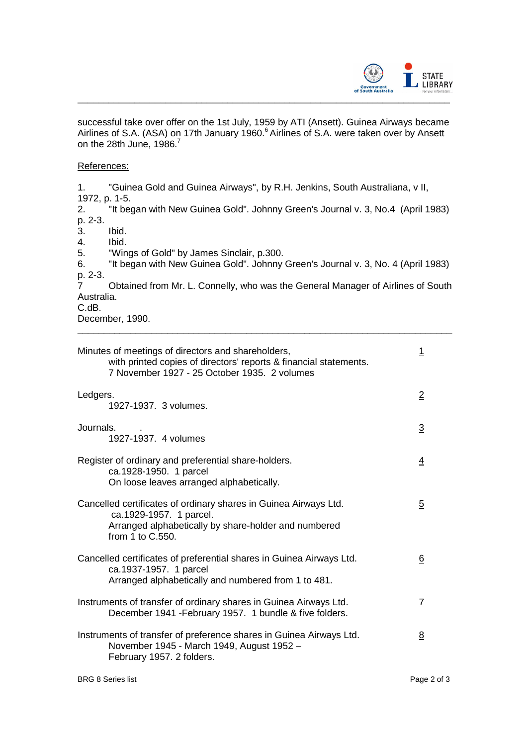

successful take over offer on the 1st July, 1959 by ATI (Ansett). Guinea Airways became Airlines of S.A. (ASA) on 17th January 1960.<sup>6</sup> Airlines of S.A. were taken over by Ansett on the 28th June, 1986.<sup>7</sup>

## References:

1. "Guinea Gold and Guinea Airways", by R.H. Jenkins, South Australiana, v II, 1972, p. 1-5.

2. "It began with New Guinea Gold". Johnny Green's Journal v. 3, No.4 (April 1983) p. 2-3.

3. Ibid.

4. Ibid.

5. "Wings of Gold" by James Sinclair, p.300.

6. "It began with New Guinea Gold". Johnny Green's Journal v. 3, No. 4 (April 1983) p. 2-3.

7 Obtained from Mr. L. Connelly, who was the General Manager of Airlines of South Australia.

\_\_\_\_\_\_\_\_\_\_\_\_\_\_\_\_\_\_\_\_\_\_\_\_\_\_\_\_\_\_\_\_\_\_\_\_\_\_\_\_\_\_\_\_\_\_\_\_\_\_\_\_\_\_\_\_\_\_\_\_\_\_\_\_\_\_\_\_\_\_\_

C.dB.

December, 1990.

| Minutes of meetings of directors and shareholders,<br>with printed copies of directors' reports & financial statements.<br>7 November 1927 - 25 October 1935. 2 volumes | <u> 1</u>      |
|-------------------------------------------------------------------------------------------------------------------------------------------------------------------------|----------------|
| Ledgers.<br>1927-1937. 3 volumes.                                                                                                                                       | $\overline{2}$ |
| Journals.<br>1927-1937. 4 volumes                                                                                                                                       | $\overline{3}$ |
| Register of ordinary and preferential share-holders.<br>ca.1928-1950. 1 parcel<br>On loose leaves arranged alphabetically.                                              | 4              |
| Cancelled certificates of ordinary shares in Guinea Airways Ltd.<br>ca.1929-1957. 1 parcel.<br>Arranged alphabetically by share-holder and numbered<br>from 1 to C.550. | $\overline{5}$ |
| Cancelled certificates of preferential shares in Guinea Airways Ltd.<br>ca.1937-1957. 1 parcel<br>Arranged alphabetically and numbered from 1 to 481.                   | <u>6</u>       |
| Instruments of transfer of ordinary shares in Guinea Airways Ltd.<br>December 1941 - February 1957. 1 bundle & five folders.                                            | $\mathcal{I}$  |
| Instruments of transfer of preference shares in Guinea Airways Ltd.<br>November 1945 - March 1949, August 1952 -<br>February 1957. 2 folders.                           | <u>8</u>       |